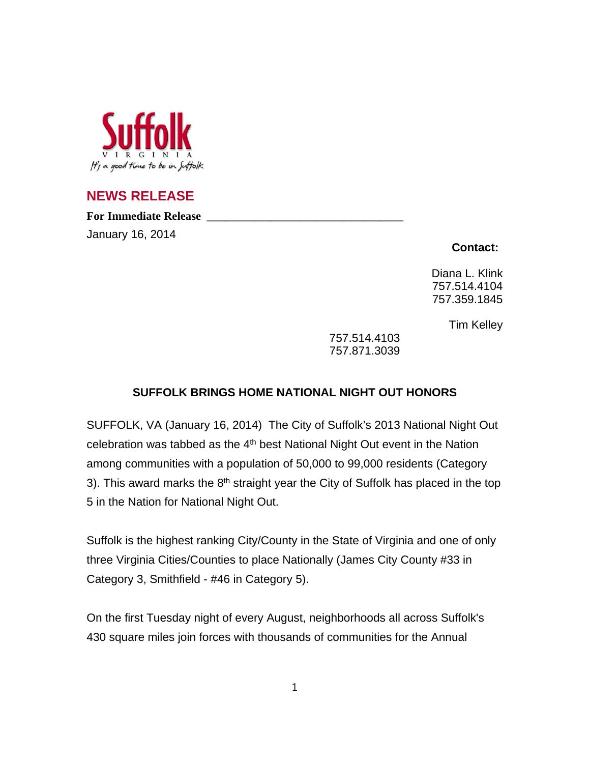

## **NEWS RELEASE**

**For Immediate Release \_\_\_\_\_\_\_\_\_\_\_\_\_\_\_\_\_\_\_\_\_\_\_\_\_\_\_\_\_\_\_\_\_\_**

January 16, 2014

**Contact:**

Diana L. Klink 757.514.4104 757.359.1845

Tim Kelley

757.514.4103 757.871.3039

## **SUFFOLK BRINGS HOME NATIONAL NIGHT OUT HONORS**

SUFFOLK, VA (January 16, 2014) The City of Suffolk's 2013 National Night Out celebration was tabbed as the  $4<sup>th</sup>$  best National Night Out event in the Nation among communities with a population of 50,000 to 99,000 residents (Category 3). This award marks the  $8<sup>th</sup>$  straight year the City of Suffolk has placed in the top 5 in the Nation for National Night Out.

Suffolk is the highest ranking City/County in the State of Virginia and one of only three Virginia Cities/Counties to place Nationally (James City County #33 in Category 3, Smithfield - #46 in Category 5).

On the first Tuesday night of every August, neighborhoods all across Suffolk's 430 square miles join forces with thousands of communities for the Annual